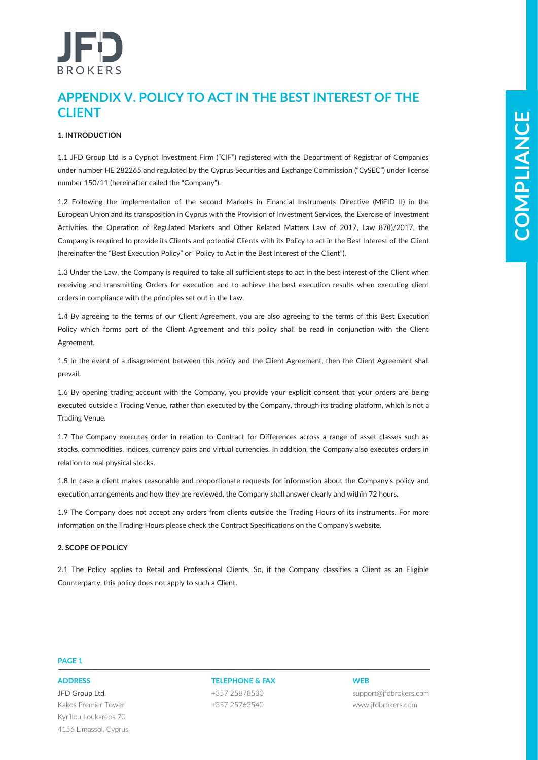# **APPENDIX V. POLICY TO ACT IN THE BEST INTEREST OF THE CLIENT**

# **1. INTRODUCTION**

1.1 JFD Group Ltd is a Cypriot Investment Firm ("CIF") registered with the Department of Registrar of Companies under number HE 282265 and regulated by the Cyprus Securities and Exchange Commission ("CySEC") under license number 150/11 (hereinafter called the "Company").

United the state of the Chinach state of the Chinach state of the Best external degree of contents of the state of the state of the state of the state of the state of the state of the state of the state of the state of th 1.2 Following the implementation of the second Markets in Financial Instruments Directive (MiFID II) in the European Union and its transposition in Cyprus with the Provision of Investment Services, the Exercise of Investment Activities, the Operation of Regulated Markets and Other Related Matters Law of 2017, Law 87(I)/2017, the Company is required to provide its Clients and potential Clients with its Policy to act in the Best Interest of the Client (hereinafter the "Best Execution Policy" or "Policy to Act in the Best Interest of the Client").

1.3 Under the Law, the Company is required to take all sufficient steps to act in the best interest of the Client when receiving and transmitting Orders for execution and to achieve the best execution results when executing client orders in compliance with the principles set out in the Law.

1.4 By agreeing to the terms of our Client Agreement, you are also agreeing to the terms of this Best Execution Policy which forms part of the Client Agreement and this policy shall be read in conjunction with the Client Agreement.

1.5 In the event of a disagreement between this policy and the Client Agreement, then the Client Agreement shall prevail.

1.6 By opening trading account with the Company, you provide your explicit consent that your orders are being executed outside a Trading Venue, rather than executed by the Company, through its trading platform, which is not a Trading Venue.

1.7 The Company executes order in relation to Contract for Differences across a range of asset classes such as stocks, commodities, indices, currency pairs and virtual currencies. In addition, the Company also executes orders in relation to real physical stocks.

1.8 In case a client makes reasonable and proportionate requests for information about the Company's policy and execution arrangements and how they are reviewed, the Company shall answer clearly and within 72 hours.

1.9 The Company does not accept any orders from clients outside the Trading Hours of its instruments. For more information on the Trading Hours please check the Contract Specifications on the Company's website.

# **2. SCOPE OF POLICY**

2.1 The Policy applies to Retail and Professional Clients. So, if the Company classifies a Client as an Eligible Counterparty, this policy does not apply to such a Client.

# **PAGE 1**

JFD Group Ltd. Kakos Premier Tower Kyrillou Loukareos 70 4156 Limassol, Cyprus

**ADDRESS TELEPHONE & FAX WEB** +357 25878530 +357 25763540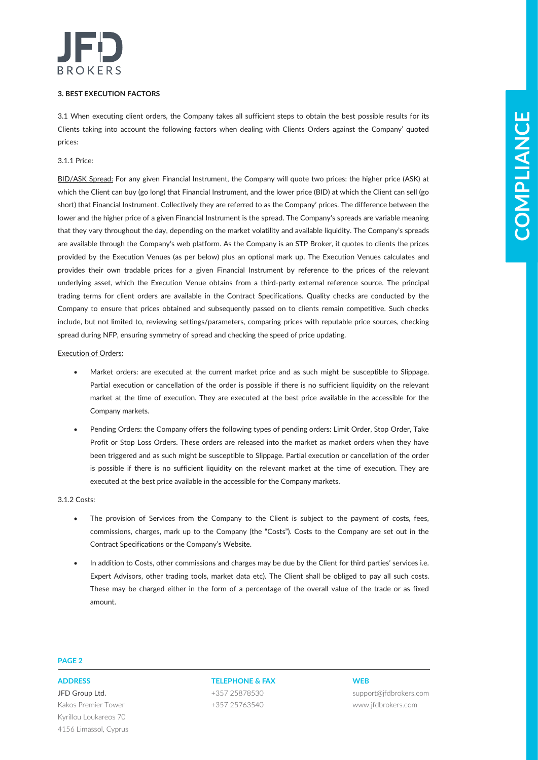

# **3. BEST EXECUTION FACTORS**

3.1 When executing client orders, the Company takes all sufficient steps to obtain the best possible results for its Clients taking into account the following factors when dealing with Clients Orders against the Company' quoted prices:

# 3.1.1 Price:

At Mone sample, their function of the function share the share in the fit the two possible procedures are the content of the state in the content of the state in the content of the state in the content of the state in the BID/ASK Spread: For any given Financial Instrument, the Company will quote two prices: the higher price (ASK) at which the Client can buy (go long) that Financial Instrument, and the lower price (BID) at which the Client can sell (go short) that Financial Instrument. Collectively they are referred to as the Company' prices. The difference between the lower and the higher price of a given Financial Instrument is the spread. The Company's spreads are variable meaning that they vary throughout the day, depending on the market volatility and available liquidity. The Company's spreads are available through the Company's web platform. As the Company is an STP Broker, it quotes to clients the prices provided by the Execution Venues (as per below) plus an optional mark up. The Execution Venues calculates and provides their own tradable prices for a given Financial Instrument by reference to the prices of the relevant underlying asset, which the Execution Venue obtains from a third-party external reference source. The principal trading terms for client orders are available in the Contract Specifications. Quality checks are conducted by the Company to ensure that prices obtained and subsequently passed on to clients remain competitive. Such checks include, but not limited to, reviewing settings/parameters, comparing prices with reputable price sources, checking spread during NFP, ensuring symmetry of spread and checking the speed of price updating.

## Execution of Orders:

- Market orders: are executed at the current market price and as such might be susceptible to Slippage. Partial execution or cancellation of the order is possible if there is no sufficient liquidity on the relevant market at the time of execution. They are executed at the best price available in the accessible for the Company markets.
- Pending Orders: the Company offers the following types of pending orders: Limit Order, Stop Order, Take Profit or Stop Loss Orders. These orders are released into the market as market orders when they have been triggered and as such might be susceptible to Slippage. Partial execution or cancellation of the order is possible if there is no sufficient liquidity on the relevant market at the time of execution. They are executed at the best price available in the accessible for the Company markets.

# 3.1.2 Costs:

- The provision of Services from the Company to the Client is subject to the payment of costs, fees, commissions, charges, mark up to the Company (the "Costs"). Costs to the Company are set out in the Contract Specifications or the Company's Website.
- In addition to Costs, other commissions and charges may be due by the Client for third parties' services i.e. Expert Advisors, other trading tools, market data etc). The Client shall be obliged to pay all such costs. These may be charged either in the form of a percentage of the overall value of the trade or as fixed amount.

### **PAGE 2**

JFD Group Ltd. Kakos Premier Tower Kyrillou Loukareos 70 4156 Limassol, Cyprus

**ADDRESS TELEPHONE & FAX WEB** +357 25878530 +357 25763540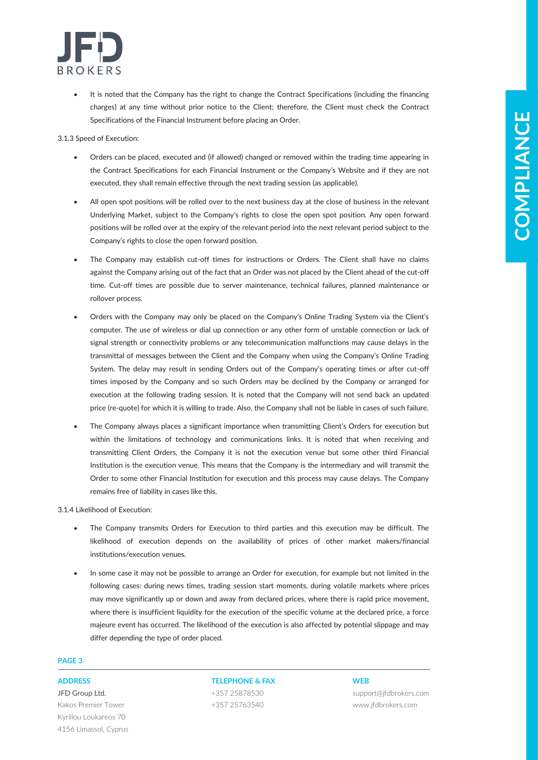

It is noted that the Company has the right to change the Contract Specifications (including the financing charges) at any time without prior notice to the Client; therefore, the Client must check the Contract Specifications of the Financial Instrument before placing an Order.

3.1.3 Speed of Execution:

- Orders can be placed, executed and (if allowed) changed or removed within the trading time appearing in the Contract Specifications for each Financial Instrument or the Company's Website and if they are not executed, they shall remain effective through the next trading session (as applicable).
- All open spot positions will be rolled over to the next business day at the close of business in the relevant Underlying Market, subject to the Company's rights to close the open spot position. Any open forward positions will be rolled over at the expiry of the relevant period into the next relevant period subject to the Company's rights to close the open forward position.
- The Company may establish cut-off times for instructions or Orders. The Client shall have no claims against the Company arising out of the fact that an Order was not placed by the Client ahead of the cut-off time. Cut-off times are possible due to server maintenance, technical failures, planned maintenance or rollover process.
- **Example 2** in Financial Enforces in the interaction of the control of the interaction of the interaction of the interaction of the interaction of the interaction of the interaction of the interaction of the interaction o • Orders with the Company may only be placed on the Company's Online Trading System via the Client's computer. The use of wireless or dial up connection or any other form of unstable connection or lack of signal strength or connectivity problems or any telecommunication malfunctions may cause delays in the transmittal of messages between the Client and the Company when using the Company's Online Trading System. The delay may result in sending Orders out of the Company's operating times or after cut-off times imposed by the Company and so such Orders may be declined by the Company or arranged for execution at the following trading session. It is noted that the Company will not send back an updated price (re-quote) for which it is willing to trade. Also, the Company shall not be liable in cases of such failure.
	- The Company always places a significant importance when transmitting Client's Orders for execution but within the limitations of technology and communications links. It is noted that when receiving and transmitting Client Orders, the Company it is not the execution venue but some other third Financial Institution is the execution venue. This means that the Company is the intermediary and will transmit the Order to some other Financial Institution for execution and this process may cause delays. The Company remains free of liability in cases like this.

3.1.4 Likelihood of Execution:

- The Company transmits Orders for Execution to third parties and this execution may be difficult. The likelihood of execution depends on the availability of prices of other market makers/financial institutions/execution venues.
- In some case it may not be possible to arrange an Order for execution, for example but not limited in the following cases: during news times, trading session start moments, during volatile markets where prices may move significantly up or down and away from declared prices, where there is rapid price movement, where there is insufficient liquidity for the execution of the specific volume at the declared price, a force majeure event has occurred. The likelihood of the execution is also affected by potential slippage and may differ depending the type of order placed.

# **PAGE 3**

JFD Group Ltd. Kakos Premier Tower Kyrillou Loukareos 70 4156 Limassol, Cyprus

# **ADDRESS TELEPHONE & FAX WEB**

+357 25878530 +357 25763540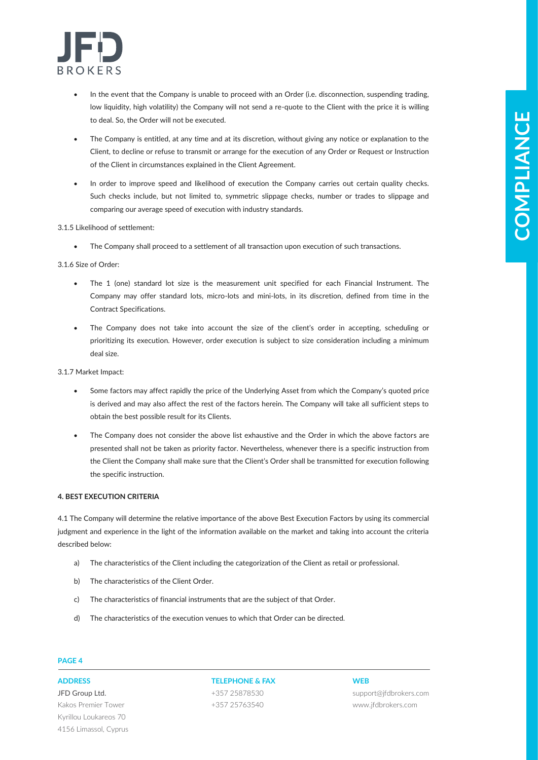

- In the event that the Company is unable to proceed with an Order (i.e. disconnection, suspending trading, low liquidity, high volatility) the Company will not send a re-quote to the Client with the price it is willing to deal. So, the Order will not be executed.
- The Company is entitled, at any time and at its discretion, without giving any notice or explanation to the Client, to decline or refuse to transmit or arrange for the execution of any Order or Request or Instruction of the Client in circumstances explained in the Client Agreement.
- In order to improve speed and likelihood of execution the Company carries out certain quality checks. Such checks include, but not limited to, symmetric slippage checks, number or trades to slippage and comparing our average speed of execution with industry standards.

# 3.1.5 Likelihood of settlement:

• The Company shall proceed to a settlement of all transaction upon execution of such transactions.

# 3.1.6 Size of Order:

- The 1 (one) standard lot size is the measurement unit specified for each Financial Instrument. The Company may offer standard lots, micro-lots and mini-lots, in its discretion, defined from time in the Contract Specifications.
- The Company does not take into account the size of the client's order in accepting, scheduling or prioritizing its execution. However, order execution is subject to size consideration including a minimum deal size.

# 3.1.7 Market Impact:

- Some factors may affect rapidly the price of the Underlying Asset from which the Company's quoted price is derived and may also affect the rest of the factors herein. The Company will take all sufficient steps to obtain the best possible result for its Clients.
- **Example 20** that of the controlled benefits to the first the photon of the Controlled Burbon controlled by the controlled benefits of the controlled benefits of the controlled benefits of the controlled benefits of the c The Company does not consider the above list exhaustive and the Order in which the above factors are presented shall not be taken as priority factor. Nevertheless, whenever there is a specific instruction from the Client the Company shall make sure that the Client's Order shall be transmitted for execution following the specific instruction.

# **4. BEST EXECUTION CRITERIA**

4.1 The Company will determine the relative importance of the above Best Execution Factors by using its commercial judgment and experience in the light of the information available on the market and taking into account the criteria described below:

- a) The characteristics of the Client including the categorization of the Client as retail or professional.
- b) The characteristics of the Client Order.
- c) The characteristics of financial instruments that are the subject of that Order.
- d) The characteristics of the execution venues to which that Order can be directed.

# **PAGE 4**

JFD Group Ltd. Kakos Premier Tower Kyrillou Loukareos 70 4156 Limassol, Cyprus

# **ADDRESS TELEPHONE & FAX WEB** +357 25878530

+357 25763540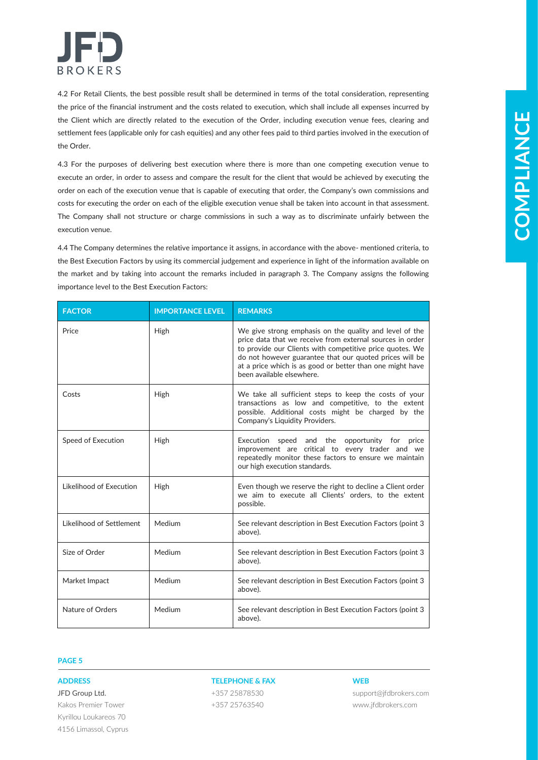

4.2 For Retail Clients, the best possible result shall be determined in terms of the total consideration, representing the price of the financial instrument and the costs related to execution, which shall include all expenses incurred by the Client which are directly related to the execution of the Order, including execution venue fees, clearing and settlement fees (applicable only for cash equities) and any other fees paid to third parties involved in the execution of the Order.

| the Order.                                                                                                |                         | the Client which are directly related to the execution of the Order, including execution venue fees, clearing and<br>settlement fees (applicable only for cash equities) and any other fees paid to third parties involved in the execution of                                                                                                                                                                                                                                                                                                                                               |            |
|-----------------------------------------------------------------------------------------------------------|-------------------------|----------------------------------------------------------------------------------------------------------------------------------------------------------------------------------------------------------------------------------------------------------------------------------------------------------------------------------------------------------------------------------------------------------------------------------------------------------------------------------------------------------------------------------------------------------------------------------------------|------------|
| execution venue.                                                                                          |                         | 4.3 For the purposes of delivering best execution where there is more than one competing execution venue to<br>execute an order, in order to assess and compare the result for the client that would be achieved by executing the<br>order on each of the execution venue that is capable of executing that order, the Company's own commissions and<br>costs for executing the order on each of the eligible execution venue shall be taken into account in that assessment.<br>The Company shall not structure or charge commissions in such a way as to discriminate unfairly between the | COMPLIANCE |
| importance level to the Best Execution Factors:                                                           |                         | 4.4 The Company determines the relative importance it assigns, in accordance with the above- mentioned criteria, to<br>the Best Execution Factors by using its commercial judgement and experience in light of the information available on<br>the market and by taking into account the remarks included in paragraph 3. The Company assigns the following                                                                                                                                                                                                                                  |            |
| <b>FACTOR</b>                                                                                             | <b>IMPORTANCE LEVEL</b> | <b>REMARKS</b>                                                                                                                                                                                                                                                                                                                                                                                                                                                                                                                                                                               |            |
| Price                                                                                                     | High                    | We give strong emphasis on the quality and level of the<br>price data that we receive from external sources in order<br>to provide our Clients with competitive price quotes. We<br>do not however guarantee that our quoted prices will be<br>at a price which is as good or better than one might have<br>been available elsewhere.                                                                                                                                                                                                                                                        |            |
| Costs                                                                                                     | High                    | We take all sufficient steps to keep the costs of your<br>transactions as low and competitive, to the extent<br>possible. Additional costs might be charged by the<br>Company's Liquidity Providers.                                                                                                                                                                                                                                                                                                                                                                                         |            |
| Speed of Execution                                                                                        | High                    | Execution speed and the opportunity for price<br>improvement are critical to every trader and we<br>repeatedly monitor these factors to ensure we maintain<br>our high execution standards.                                                                                                                                                                                                                                                                                                                                                                                                  |            |
| Likelihood of Execution                                                                                   | High                    | Even though we reserve the right to decline a Client order<br>we aim to execute all Clients' orders, to the extent<br>possible.                                                                                                                                                                                                                                                                                                                                                                                                                                                              |            |
| Likelihood of Settlement                                                                                  | Medium                  | See relevant description in Best Execution Factors (point 3<br>above).                                                                                                                                                                                                                                                                                                                                                                                                                                                                                                                       |            |
| Size of Order                                                                                             | Medium                  | See relevant description in Best Execution Factors (point 3<br>above).                                                                                                                                                                                                                                                                                                                                                                                                                                                                                                                       |            |
| Market Impact                                                                                             | Medium                  | See relevant description in Best Execution Factors (point 3<br>above).                                                                                                                                                                                                                                                                                                                                                                                                                                                                                                                       |            |
| Nature of Orders                                                                                          | Medium                  | See relevant description in Best Execution Factors (point 3<br>above).                                                                                                                                                                                                                                                                                                                                                                                                                                                                                                                       |            |
| <b>PAGE 5</b>                                                                                             |                         |                                                                                                                                                                                                                                                                                                                                                                                                                                                                                                                                                                                              |            |
|                                                                                                           |                         |                                                                                                                                                                                                                                                                                                                                                                                                                                                                                                                                                                                              |            |
| <b>ADDRESS</b><br>JFD Group Ltd.<br>Kakos Premier Tower<br>Kyrillou Loukareos 70<br>4156 Limassol, Cyprus |                         | <b>TELEPHONE &amp; FAX</b><br><b>WEB</b><br>+357 25878530<br>support@jfdbrokers.com<br>+357 25763540<br>www.jfdbrokers.com                                                                                                                                                                                                                                                                                                                                                                                                                                                                   |            |

# **PAGE 5**

# **ADDRESS TELEPHONE & FAX WEB**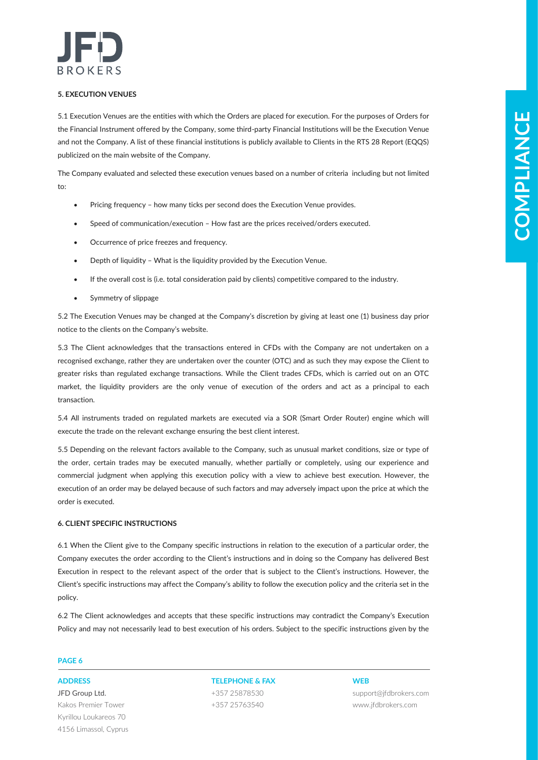

# **5. EXECUTION VENUES**

5.1 Execution Venues are the entities with which the Orders are placed for execution. For the purposes of Orders for the Financial Instrument offered by the Company, some third-party Financial Institutions will be the Execution Venue and not the Company. A list of these financial institutions is publicly available to Clients in the RTS 28 Report (EQQS) publicized on the main website of the Company.

The Company evaluated and selected these execution venues based on a number of criteria including but not limited  $t^{\circ}$ 

- Pricing frequency how many ticks per second does the Execution Venue provides.
- Speed of communication/execution How fast are the prices received/orders executed.
- Occurrence of price freezes and frequency.
- Depth of liquidity What is the liquidity provided by the Execution Venue.
- If the overall cost is (i.e. total consideration paid by clients) competitive compared to the industry.
- Symmetry of slippage

5.2 The Execution Venues may be changed at the Company's discretion by giving at least one (1) business day prior notice to the clients on the Company's website.

5.3 The Client acknowledges that the transactions entered in CFDs with the Company are not undertaken on a recognised exchange, rather they are undertaken over the counter (OTC) and as such they may expose the Client to greater risks than regulated exchange transactions. While the Client trades CFDs, which is carried out on an OTC market, the liquidity providers are the only venue of execution of the orders and act as a principal to each transaction.

5.4 All instruments traded on regulated markets are executed via a SOR (Smart Order Router) engine which will execute the trade on the relevant exchange ensuring the best client interest.

ST Facture interesting the simulation of the limit of the simulation interesting the following the following the content of the simulation of the simulation of the simulation of the simulation of the simulation of the sim 5.5 Depending on the relevant factors available to the Company, such as unusual market conditions, size or type of the order, certain trades may be executed manually, whether partially or completely, using our experience and commercial judgment when applying this execution policy with a view to achieve best execution. However, the execution of an order may be delayed because of such factors and may adversely impact upon the price at which the order is executed.

# **6. CLIENT SPECIFIC INSTRUCTIONS**

6.1 When the Client give to the Company specific instructions in relation to the execution of a particular order, the Company executes the order according to the Client's instructions and in doing so the Company has delivered Best Execution in respect to the relevant aspect of the order that is subject to the Client's instructions. However, the Client's specific instructions may affect the Company's ability to follow the execution policy and the criteria set in the policy.

6.2 The Client acknowledges and accepts that these specific instructions may contradict the Company's Execution Policy and may not necessarily lead to best execution of his orders. Subject to the specific instructions given by the

# **PAGE 6**

JFD Group Ltd. Kakos Premier Tower Kyrillou Loukareos 70 4156 Limassol, Cyprus

# **ADDRESS TELEPHONE & FAX WEB**

+357 25878530 +357 25763540